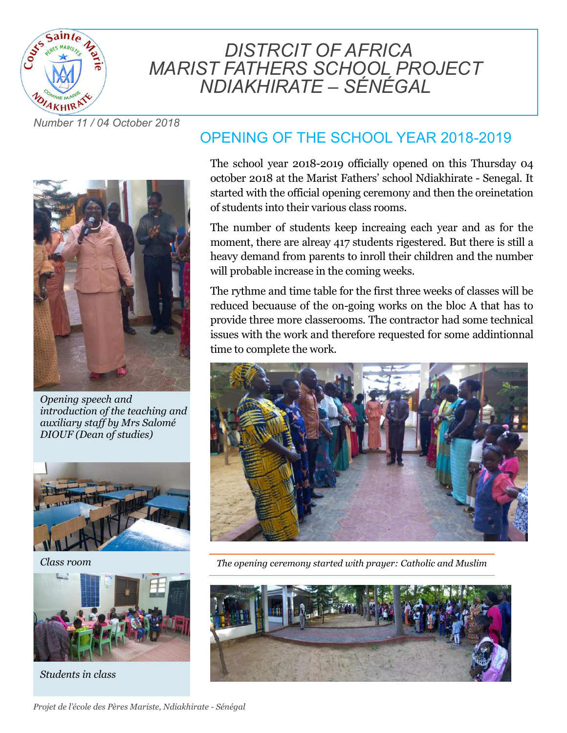

# *DISTRCIT OF AFRICA MARIST FATHERS SCHOOL PROJECT NDIAKHIRATE – SÉNÉGAL*

*Number 11 / 04 October 2018*



*Opening speech and introduction of the teaching and auxiliary staff by Mrs Salomé DIOUF (Dean of studies)*



*Class room*



*Students in class*

## OPENING OF THE SCHOOL YEAR 2018-2019

The school year 2018-2019 officially opened on this Thursday 04 october 2018 at the Marist Fathers' school Ndiakhirate - Senegal. It started with the official opening ceremony and then the oreinetation of students into their various class rooms.

The number of students keep increaing each year and as for the moment, there are alreay 417 students rigestered. But there is still a heavy demand from parents to inroll their children and the number will probable increase in the coming weeks.

The rythme and time table for the first three weeks of classes will be reduced becuause of the on-going works on the bloc A that has to provide three more classerooms. The contractor had some technical issues with the work and therefore requested for some addintionnal time to complete the work.



*The opening ceremony started with prayer: Catholic and Muslim*